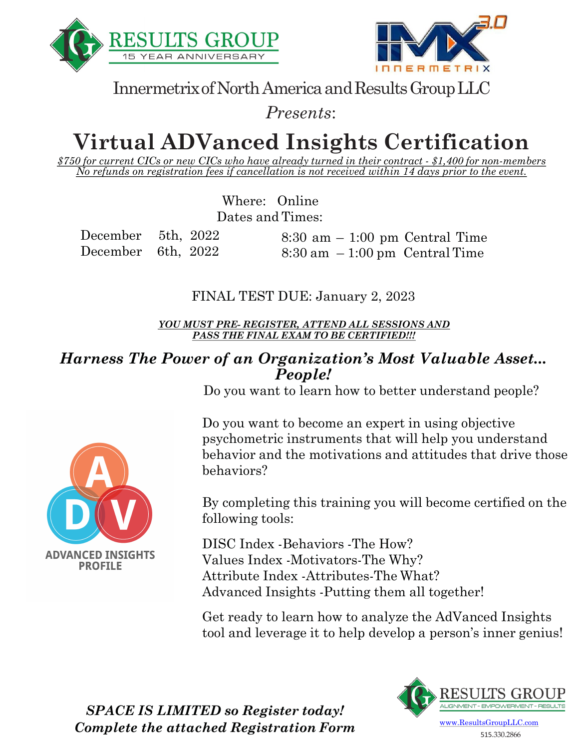



Innermetrix of North America and Results Group LLC

*Presents*:

# **Virtual ADVanced Insights Certification**

*\$750 for current CICs or new CICs who have already turned in their contract - \$1,400 for non-members No refunds on registration fees if cancellation is not received within 14 days prior to the event.*

> Where: Online Dates and Times:

December 5th, 2022 December 6th, 2022

**ADVANCED INSIGHTS PROFILE** 

8:30 am – 1:00 pm Central Time  $8:30 \text{ am } -1:00 \text{ pm}$  Central Time

FINAL TEST DUE: January 2, 2023

*YOU MUST PRE- REGISTER, ATTEND ALL SESSIONS AND PASS THE FINAL EXAM TO BE CERTIFIED!!!*

#### *Harness The Power of an Organization's Most Valuable Asset... People!*

Do you want to learn how to better understand people?

Do you want to become an expert in using objective psychometric instruments that will help you understand behavior and the motivations and attitudes that drive those behaviors?

By completing this training you will become certified on the following tools:

DISC Index -Behaviors -The How? Values Index -Motivators-The Why? Attribute Index -Attributes-The What? Advanced Insights -Putting them all together!

Get ready to learn how to analyze the AdVanced Insights tool and leverage it to help develop a person's inner genius!



*SPACE IS LIMITED so Register today! Complete the attached Registration Form*